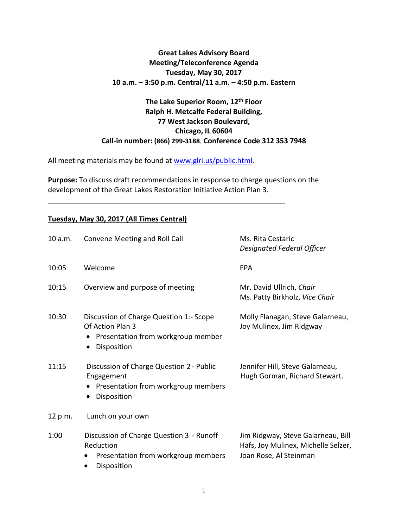## **Great Lakes Advisory Board Meeting/Teleconference Agenda Tuesday, May 30, 2017 10 a.m. – 3:50 p.m. Central/11 a.m. – 4:50 p.m. Eastern**

## **The Lake Superior Room, 12th Floor Ralph H. Metcalfe Federal Building, 77 West Jackson Boulevard, Chicago, IL 60604 Call-in number: (866) 299-3188**, **Conference Code 312 353 7948**

All meeting materials may be found at [www.glri.us/public.html.](http://www.glri.us/public.html)

**Purpose:** To discuss draft recommendations in response to charge questions on the development of the Great Lakes Restoration Initiative Action Plan 3.

## **Tuesday, May 30, 2017 (All Times Central)**

| 10 a.m. | Convene Meeting and Roll Call                                                                                    | Ms. Rita Cestaric<br><b>Designated Federal Officer</b>                                              |
|---------|------------------------------------------------------------------------------------------------------------------|-----------------------------------------------------------------------------------------------------|
| 10:05   | Welcome                                                                                                          | EPA                                                                                                 |
| 10:15   | Overview and purpose of meeting                                                                                  | Mr. David Ullrich, Chair<br>Ms. Patty Birkholz, Vice Chair                                          |
| 10:30   | Discussion of Charge Question 1:- Scope<br>Of Action Plan 3<br>Presentation from workgroup member<br>Disposition | Molly Flanagan, Steve Galarneau,<br>Joy Mulinex, Jim Ridgway                                        |
| 11:15   | Discussion of Charge Question 2 - Public<br>Engagement<br>Presentation from workgroup members<br>Disposition     | Jennifer Hill, Steve Galarneau,<br>Hugh Gorman, Richard Stewart.                                    |
| 12 p.m. | Lunch on your own                                                                                                |                                                                                                     |
| 1:00    | Discussion of Charge Question 3 - Runoff<br>Reduction<br>Presentation from workgroup members<br>Disposition      | Jim Ridgway, Steve Galarneau, Bill<br>Hafs, Joy Mulinex, Michelle Selzer,<br>Joan Rose, Al Steinman |